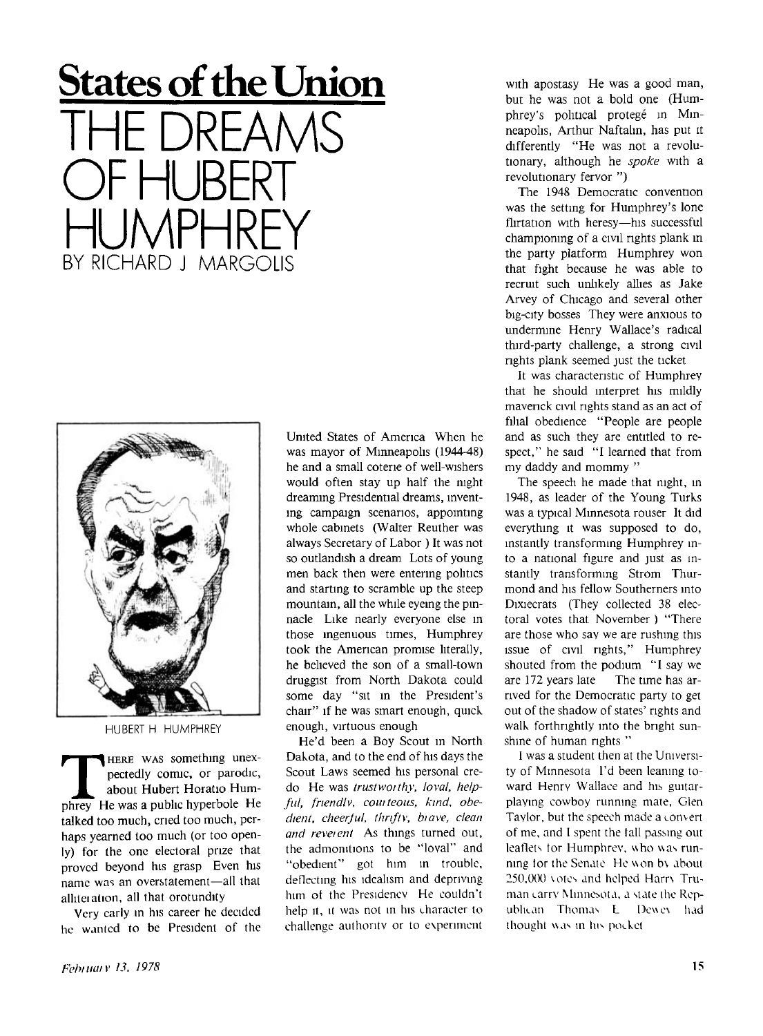## **States of the Union**  THE DREAMS OF HUBERT HUMPHREY BY RICHARD J MARGOLIS



HUBERT H HUMPHREY

**THERE WAS something unexpectedly comic, or parodic, about Hubert Horatio Humphrey He was a public hyperbole He HERE WAS** something unexpectedly comic, or parodic, about Hubert Horatio Humtalked too much, cried too much, perhaps yearned too much (or too openly) for the one electoral prize that proved beyond his grasp Even his name was an overstatement—all that alliteiation, all that orotundity

Very early in his career he decided he wanted to be President of the United States of America When he was mayor of Minneapolis (1944-48) he and a small coterie of well-wishers would often stay up half the night dreaming Presidential dreams, inventing campaign scenarios, appointing whole cabinets (Walter Reuther was always Secretary of Labor ) It was not so outlandish a dream Lots of young men back then were entering politics and starting to scramble up the steep mountain, all the while eyeing the pinnacle Like nearly everyone else in those ingenuous times, Humphrey took the American promise literally, he believed the son of a small-town druggist from North Dakota could some day "sit in the President's chair" if he was smart enough, quick enough, virtuous enough

He'd been a Boy Scout in North Dakota, and to the end of his days the Scout Laws seemed his personal credo He was *trustworthy, loval, helpful, frtendlv, couiteous, kind, obedient, cheerjul, thnftv, biave, clean and reveient* As things turned out, the admonitions to be "loval" and "obedient" got him in trouble, deflecting his idealism and depriving him ot the Presidency He couldn't help it, it was not in his character to challenge authority or to experiment

with apostasy He was a good man, but he was not a bold one (Humphrey's political protegé in Minneapolis, Arthur Naftahn, has put it differently "He was not a revolutionary, although he *spoke* with a revolutionary fervor ")

The 1948 Democratic convention was the setting for Humphrey's lone flirtation with heresy—his successful championing of a civil rights plank m the party platform Humphrey won that fight because he was able to recruit such unlikely allies as Jake Arvey of Chicago and several other big-city bosses They were anxious to undermine Henry Wallace's radical third-party challenge, a strong civil rights plank seemed just the ticket

It was characteristic of Humphrey that he should interpret his mildly maverick civil rights stand as an act of filial obedience "People are people and as such they are entitled to respect," he said "I learned that from my daddy and mommy "

The speech he made that night, in 1948, as leader of the Young Turks was a typical Minnesota rouser It did everything it was supposed to do, instantly transforming Humphrey into a national figure and just as instantly transforming Strom Thurmond and his fellow Southerners into Dixiecrats (They collected 38 electoral votes that November ) "There are those who say we are rushing this issue of civil rights," Humphrey shouted from the podium "I say we are 172 years late The time has arrived for the Democratic party to get out of the shadow of states' rights and walk forthrightly into the bright sunshine of human rights "

I was a student then at the University of Minnesota I'd been leaning toward Henry Wallace and his guitarplaying cowboy running mate, Glen Taylor, but the speech made a convert of me, and I spent the tall passing out leaflets tor Humphrey, who was running tor the Senate He won bv about 250,000 votes and helped Harrv Truman carry Minnesota, a state the Republican Thomas L Dcwcv had thought was in his pocket